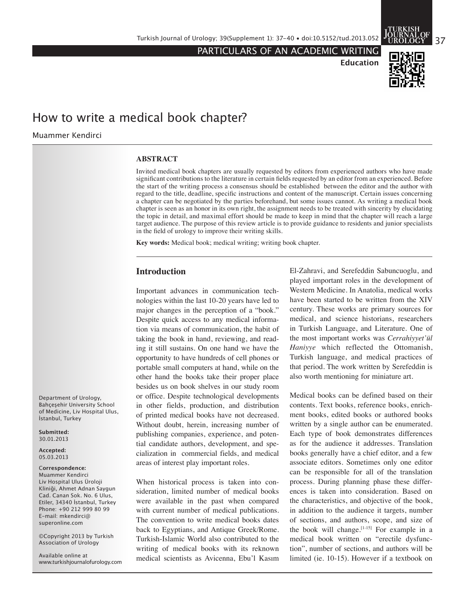PARTICULARS OF AN ACADEMIC WRITING



**Education**

# How to write a medical book chapter?

Muammer Kendirci

#### **ABSTRACT**

Invited medical book chapters are usually requested by editors from experienced authors who have made significant contributions to the literature in certain fields requested by an editor from an experienced. Before the start of the writing process a consensus should be established between the editor and the author with regard to the title, deadline, specific instructions and content of the manuscript. Certain issues concerning a chapter can be negotiated by the parties beforehand, but some issues cannot. As writing a medical book chapter is seen as an honor in its own right, the assignment needs to be treated with sincerity by elucidating the topic in detail, and maximal effort should be made to keep in mind that the chapter will reach a large target audience. The purpose of this review article is to provide guidance to residents and junior specialists in the field of urology to improve their writing skills.

**Key words:** Medical book; medical writing; writing book chapter.

## **Introduction**

Important advances in communication technologies within the last 10-20 years have led to major changes in the perception of a "book." Despite quick access to any medical information via means of communication, the habit of taking the book in hand, reviewing, and reading it still sustains. On one hand we have the opportunity to have hundreds of cell phones or portable small computers at hand, while on the other hand the books take their proper place besides us on book shelves in our study room or office. Despite technological developments in other fields, production, and distribution of printed medical books have not decreased. Without doubt, herein, increasing number of publishing companies, experience, and potential candidate authors, development, and specialization in commercial fields, and medical areas of interest play important roles.

When historical process is taken into consideration, limited number of medical books were available in the past when compared with current number of medical publications. The convention to write medical books dates back to Egyptians, and Antique Greek/Rome. Turkish-Islamic World also contributed to the writing of medical books with its reknown medical scientists as Avicenna, Ebu'l Kasım

El-Zahravi, and Serefeddin Sabuncuoglu, and played important roles in the development of Western Medicine. In Anatolia, medical works have been started to be written from the XIV century. These works are primary sources for medical, and science historians, researchers in Turkish Language, and Literature. One of the most important works was *Cerrahiyyet'ül Haniyye* which reflected the Ottomanish, Turkish language, and medical practices of that period. The work written by Serefeddin is also worth mentioning for miniature art.

Medical books can be defined based on their contents. Text books, reference books, enrichment books, edited books or authored books written by a single author can be enumerated. Each type of book demonstrates differences as for the audience it addresses. Translation books generally have a chief editor, and a few associate editors. Sometimes only one editor can be responsible for all of the translation process. During planning phase these differences is taken into consideration. Based on the characteristics, and objective of the book, in addition to the audience it targets, number of sections, and authors, scope, and size of the book will change.  $[1-15]$  For example in a medical book written on "erectile dysfunction", number of sections, and authors will be limited (ie. 10-15). However if a textbook on

Department of Urology, Bahçeşehir University School of Medicine, Liv Hospital Ulus, İstanbul, Turkey

**Submitted:** 30.01.2013

**Accepted:** 05.03.2013

#### C**orrespondence:**

Muammer Kendirci Liv Hospital Ulus Üroloji Kliniği, Ahmet Adnan Saygun Cad. Canan Sok. No. 6 Ulus, Etiler, 34340 İstanbul, Turkey Phone: +90 212 999 80 99 E-mail: mkendirci@ superonline.com

©Copyright 2013 by Turkish Association of Urology

Available online at www.turkishjournalofurology.com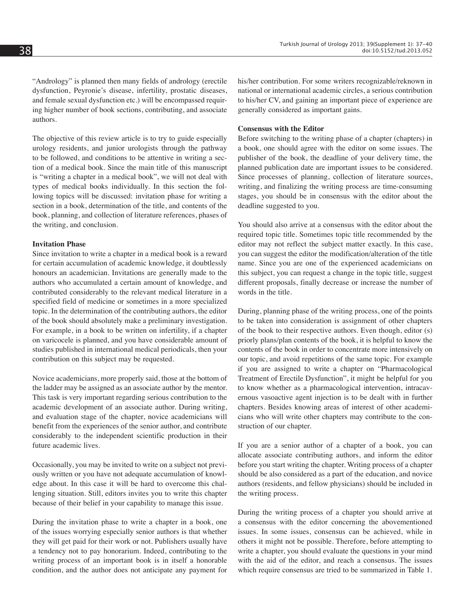"Andrology" is planned then many fields of andrology (erectile dysfunction, Peyronie's disease, infertility, prostatic diseases, and female sexual dysfunction etc.) will be encompassed requiring higher number of book sections, contributing, and associate authors.

The objective of this review article is to try to guide especially urology residents, and junior urologists through the pathway to be followed, and conditions to be attentive in writing a section of a medical book. Since the main title of this manuscript is "writing a chapter in a medical book", we will not deal with types of medical books individually. In this section the following topics will be discussed: invitation phase for writing a section in a book, determination of the title, and contents of the book, planning, and collection of literature references, phases of the writing, and conclusion.

### **Invitation Phase**

Since invitation to write a chapter in a medical book is a reward for certain accumulation of academic knowledge, it doubtlessly honours an academician. Invitations are generally made to the authors who accumulated a certain amount of knowledge, and contributed considerably to the relevant medical literature in a specified field of medicine or sometimes in a more specialized topic. In the determination of the contributing authors, the editor of the book should absolutely make a preliminary investigation. For example, in a book to be written on infertility, if a chapter on varicocele is planned, and you have considerable amount of studies published in international medical periodicals, then your contribution on this subject may be requested.

Novice academicians, more properly said, those at the bottom of the ladder may be assigned as an associate author by the mentor. This task is very important regarding serious contribution to the academic development of an associate author. During writing, and evaluation stage of the chapter, novice academicians will benefit from the experiences of the senior author, and contribute considerably to the independent scientific production in their future academic lives.

Occasionally, you may be invited to write on a subject not previously written or you have not adequate accumulation of knowledge about. In this case it will be hard to overcome this challenging situation. Still, editors invites you to write this chapter because of their belief in your capability to manage this issue.

During the invitation phase to write a chapter in a book, one of the issues worrying especially senior authors is that whether they will get paid for their work or not. Publishers usually have a tendency not to pay honorarium. Indeed, contributing to the writing process of an important book is in itself a honorable condition, and the author does not anticipate any payment for his/her contribution. For some writers recognizable/reknown in national or international academic circles, a serious contribution to his/her CV, and gaining an important piece of experience are generally considered as important gains.

# **Consensus with the Editor**

Before switching to the writing phase of a chapter (chapters) in a book, one should agree with the editor on some issues. The publisher of the book, the deadline of your delivery time, the planned publication date are important issues to be considered. Since processes of planning, collection of literature sources, writing, and finalizing the writing process are time-consuming stages, you should be in consensus with the editor about the deadline suggested to you.

You should also arrive at a consensus with the editor about the required topic title. Sometimes topic title recommended by the editor may not reflect the subject matter exactly. In this case, you can suggest the editor the modification/alteration of the title name. Since you are one of the experienced academicians on this subject, you can request a change in the topic title, suggest different proposals, finally decrease or increase the number of words in the title.

During, planning phase of the writing process, one of the points to be taken into consideration is assignment of other chapters of the book to their respective authors. Even though, editor (s) priorly plans/plan contents of the book, it is helpful to know the contents of the book in order to concentrate more intensively on our topic, and avoid repetitions of the same topic. For example if you are assigned to write a chapter on "Pharmacological Treatment of Erectile Dysfunction", it might be helpful for you to know whether as a pharmacological intervention, intracavernous vasoactive agent injection is to be dealt with in further chapters. Besides knowing areas of interest of other academicians who will write other chapters may contribute to the construction of our chapter.

If you are a senior author of a chapter of a book, you can allocate associate contributing authors, and inform the editor before you start writing the chapter. Writing process of a chapter should be also considered as a part of the education, and novice authors (residents, and fellow physicians) should be included in the writing process.

During the writing process of a chapter you should arrive at a consensus with the editor concerning the abovementioned issues. In some issues, consensus can be achieved, while in others it might not be possible. Therefore, before attempting to write a chapter, you should evaluate the questions in your mind with the aid of the editor, and reach a consensus. The issues which require consensus are tried to be summarized in Table 1.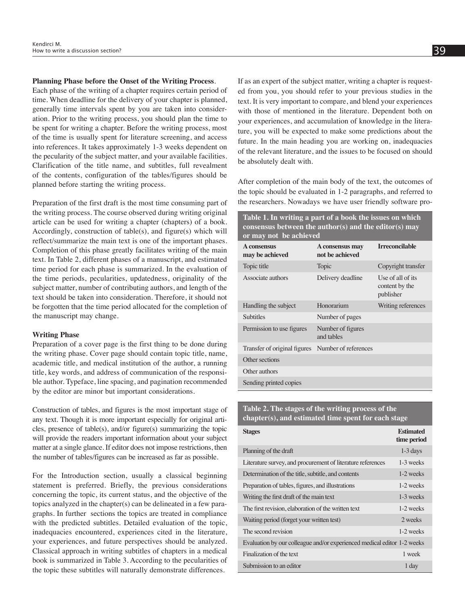#### **Planning Phase before the Onset of the Writing Process**.

Each phase of the writing of a chapter requires certain period of time. When deadline for the delivery of your chapter is planned, generally time intervals spent by you are taken into consideration. Prior to the writing process, you should plan the time to be spent for writing a chapter. Before the writing process, most of the time is usually spent for literature screening, and access into references. It takes approximately 1-3 weeks dependent on the pecularity of the subject matter, and your available facilities. Clarification of the title name, and subtitles, full revealment of the contents, configuration of the tables/figures should be planned before starting the writing process.

Preparation of the first draft is the most time consuming part of the writing process. The course observed during writing original article can be used for writing a chapter (chapters) of a book. Accordingly, construction of table(s), and figure(s) which will reflect/summarize the main text is one of the important phases. Completion of this phase greatly facilitates writing of the main text. In Table 2, different phases of a manuscript, and estimated time period for each phase is summarized. In the evaluation of the time periods, pecularities, updatedness, originality of the subject matter, number of contributing authors, and length of the text should be taken into consideration. Therefore, it should not be forgotten that the time period allocated for the completion of the manuscript may change.

#### **Writing Phase**

Preparation of a cover page is the first thing to be done during the writing phase. Cover page should contain topic title, name, academic title, and medical institution of the author, a running title, key words, and address of communication of the responsible author. Typeface, line spacing, and pagination recommended by the editor are minor but important considerations.

Construction of tables, and figures is the most important stage of any text. Though it is more important especially for original articles, presence of table(s), and/or figure(s) summarizing the topic will provide the readers important information about your subject matter at a single glance. If editor does not impose restrictions, then the number of tables/figures can be increased as far as possible.

For the Introduction section, usually a classical beginning statement is preferred. Briefly, the previous considerations concerning the topic, its current status, and the objective of the topics analyzed in the chapter(s) can be delineated in a few paragraphs. In further sections the topics are treated in compliance with the predicted subtitles. Detailed evaluation of the topic, inadequacies encountered, experiences cited in the literature, your experiences, and future perspectives should be analyzed. Classical approach in writing subtitles of chapters in a medical book is summarized in Table 3. According to the pecularities of the topic these subtitles will naturally demonstrate differences.

If as an expert of the subject matter, writing a chapter is requested from you, you should refer to your previous studies in the text. It is very important to compare, and blend your experiences with those of mentioned in the literature. Dependent both on your experiences, and accumulation of knowledge in the literature, you will be expected to make some predictions about the future. In the main heading you are working on, inadequacies

After completion of the main body of the text, the outcomes of the topic should be evaluated in 1-2 paragraphs, and referred to the researchers. Nowadays we have user friendly software pro-

of the relevant literature, and the issues to be focused on should

be absolutely dealt with.

**Table 1. In writing a part of a book the issues on which consensus between the author(s) and the editor(s) may or may not be achieved** 

| A consensus<br>may be achieved                    | A consensus may<br>not be achieved | <b>Irreconcilable</b>                            |
|---------------------------------------------------|------------------------------------|--------------------------------------------------|
| Topic title                                       | Topic                              | Copyright transfer                               |
| Associate authors                                 | Delivery deadline                  | Use of all of its<br>content by the<br>publisher |
| Handling the subject                              | Honorarium                         | Writing references                               |
| <b>Subtitles</b>                                  | Number of pages                    |                                                  |
| Permission to use figures                         | Number of figures<br>and tables    |                                                  |
| Transfer of original figures Number of references |                                    |                                                  |
| Other sections                                    |                                    |                                                  |
| Other authors                                     |                                    |                                                  |
| Sending printed copies                            |                                    |                                                  |

**Table 2. The stages of the writing process of the chapter(s), and estimated time spent for each stage**

| <b>Stages</b>                                                           | <b>Estimated</b><br>time period |
|-------------------------------------------------------------------------|---------------------------------|
| Planning of the draft                                                   | $1-3$ days                      |
| Literature survey, and procurement of literature references             | 1-3 weeks                       |
| Determination of the title, subtitle, and contents                      | 1-2 weeks                       |
| Preparation of tables, figures, and illustrations                       | 1-2 weeks                       |
| Writing the first draft of the main text                                | 1-3 weeks                       |
| The first revision, elaboration of the written text                     | 1-2 weeks                       |
| Waiting period (forget your written test)                               | 2 weeks                         |
| The second revision                                                     | 1-2 weeks                       |
| Evaluation by our colleague and/or experienced medical editor 1-2 weeks |                                 |
| Finalization of the text                                                | 1 week                          |
| Submission to an editor                                                 | 1 day                           |